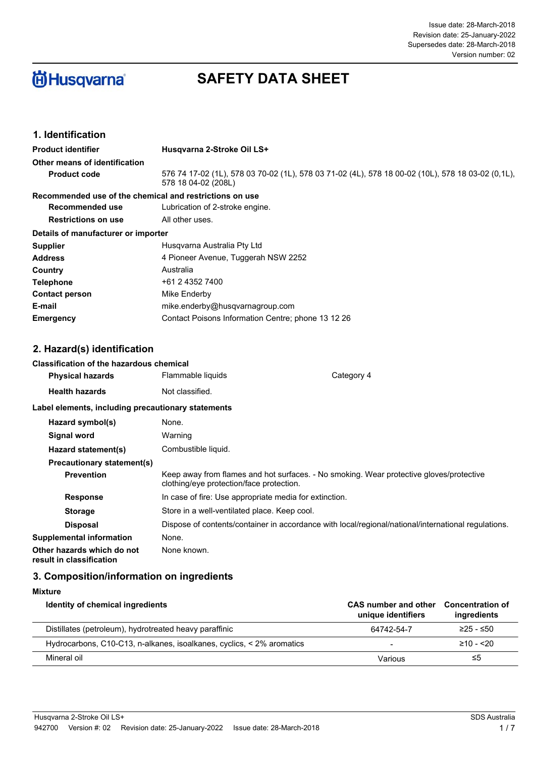#### Issue date: 28-March-2018 Supersedes date: 28-March-2018 Revision date: 25-January-2022 Version number: 02

# **尚Husqvarna**

# **SAFETY DATA SHEET**

#### **1. Identification**

| <b>Product identifier</b>                               | Husqvarna 2-Stroke Oil LS+                                                                                               |
|---------------------------------------------------------|--------------------------------------------------------------------------------------------------------------------------|
| Other means of identification                           |                                                                                                                          |
| <b>Product code</b>                                     | 576 74 17-02 (1L), 578 03 70-02 (1L), 578 03 71-02 (4L), 578 18 00-02 (10L), 578 18 03-02 (0,1L),<br>578 18 04-02 (208L) |
| Recommended use of the chemical and restrictions on use |                                                                                                                          |
| Recommended use                                         | Lubrication of 2-stroke engine.                                                                                          |
| <b>Restrictions on use</b>                              | All other uses.                                                                                                          |
| Details of manufacturer or importer                     |                                                                                                                          |
| Supplier                                                | Husgvarna Australia Pty Ltd                                                                                              |
| Address                                                 | 4 Pioneer Avenue, Tuggerah NSW 2252                                                                                      |
| Country                                                 | Australia                                                                                                                |
| Telephone                                               | +61 2 4352 7400                                                                                                          |
| <b>Contact person</b>                                   | Mike Enderby                                                                                                             |
| E-mail                                                  | mike.enderby@husqvarnagroup.com                                                                                          |
| <b>Emergency</b>                                        | Contact Poisons Information Centre; phone 13 12 26                                                                       |

#### **2. Hazard(s) identification**

#### **Classification of the hazardous chemical**

| <b>Physical hazards</b>                            | Flammable liquids    | Category 4 |
|----------------------------------------------------|----------------------|------------|
| <b>Health hazards</b>                              | Not classified.      |            |
| Label elements, including precautionary statements |                      |            |
| Hazard symbol(s)                                   | None.                |            |
| <b>Signal word</b>                                 | Warning              |            |
|                                                    | Arabicathele Bacchel |            |

| Hazard statement(s)                                    | Combustible liquid.                                                                                                                 |  |
|--------------------------------------------------------|-------------------------------------------------------------------------------------------------------------------------------------|--|
| <b>Precautionary statement(s)</b>                      |                                                                                                                                     |  |
| <b>Prevention</b>                                      | Keep away from flames and hot surfaces. - No smoking. Wear protective gloves/protective<br>clothing/eye protection/face protection. |  |
| <b>Response</b>                                        | In case of fire: Use appropriate media for extinction.                                                                              |  |
| <b>Storage</b>                                         | Store in a well-ventilated place. Keep cool.                                                                                        |  |
| <b>Disposal</b>                                        | Dispose of contents/container in accordance with local/regional/national/international regulations.                                 |  |
| Supplemental information                               | None.                                                                                                                               |  |
| Other hazards which do not<br>result in classification | None known.                                                                                                                         |  |

#### **3. Composition/information on ingredients**

| Mixture                                                               |                                            |                                        |
|-----------------------------------------------------------------------|--------------------------------------------|----------------------------------------|
| Identity of chemical ingredients                                      | CAS number and other<br>unique identifiers | <b>Concentration of</b><br>ingredients |
| Distillates (petroleum), hydrotreated heavy paraffinic                | 64742-54-7                                 | $≥25 - ≤50$                            |
| Hydrocarbons, C10-C13, n-alkanes, isoalkanes, cyclics, < 2% aromatics | $\overline{\phantom{0}}$                   | $≥10 - 520$                            |
| Mineral oil                                                           | Various                                    | ≤5                                     |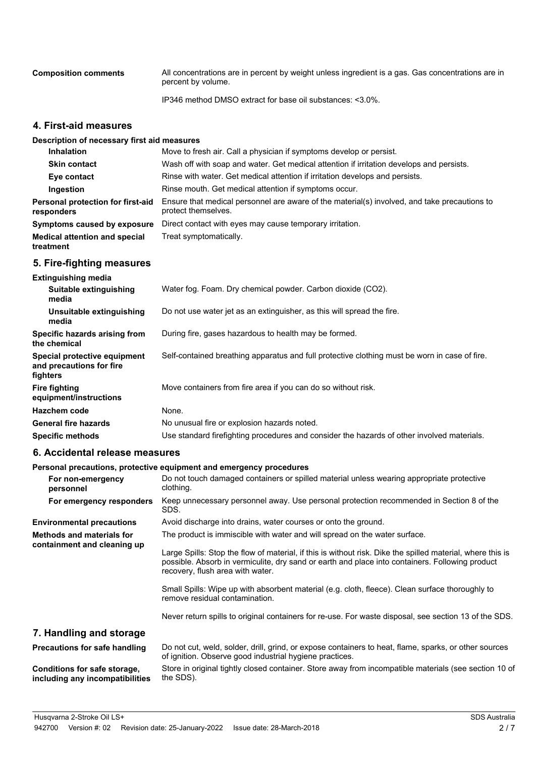| <b>Composition comments</b> | All concentrations are in percent by weight unless ingredient is a gas. Gas concentrations are in |  |
|-----------------------------|---------------------------------------------------------------------------------------------------|--|
|                             | percent by volume.                                                                                |  |

IP346 method DMSO extract for base oil substances: <3.0%.

#### **4. First-aid measures**

#### **Description of necessary first aid measures**

| <b>Inhalation</b>                                 | Move to fresh air. Call a physician if symptoms develop or persist.                                                 |  |
|---------------------------------------------------|---------------------------------------------------------------------------------------------------------------------|--|
| <b>Skin contact</b>                               | Wash off with soap and water. Get medical attention if irritation develops and persists.                            |  |
| Eye contact                                       | Rinse with water. Get medical attention if irritation develops and persists.                                        |  |
| Ingestion                                         | Rinse mouth. Get medical attention if symptoms occur.                                                               |  |
| Personal protection for first-aid<br>responders   | Ensure that medical personnel are aware of the material(s) involved, and take precautions to<br>protect themselves. |  |
| Symptoms caused by exposure                       | Direct contact with eyes may cause temporary irritation.                                                            |  |
| <b>Medical attention and special</b><br>treatment | Treat symptomatically.                                                                                              |  |

#### **5. Fire-fighting measures**

| <b>Extinguishing media</b>                                           |                                                                                               |  |
|----------------------------------------------------------------------|-----------------------------------------------------------------------------------------------|--|
| Suitable extinguishing<br>media                                      | Water fog. Foam. Dry chemical powder. Carbon dioxide (CO2).                                   |  |
| Unsuitable extinguishing<br>media                                    | Do not use water jet as an extinguisher, as this will spread the fire.                        |  |
| Specific hazards arising from<br>the chemical                        | During fire, gases hazardous to health may be formed.                                         |  |
| Special protective equipment<br>and precautions for fire<br>fighters | Self-contained breathing apparatus and full protective clothing must be worn in case of fire. |  |
| Fire fighting<br>equipment/instructions                              | Move containers from fire area if you can do so without risk.                                 |  |
| Hazchem code                                                         | None.                                                                                         |  |
| <b>General fire hazards</b>                                          | No unusual fire or explosion hazards noted.                                                   |  |
| <b>Specific methods</b>                                              | Use standard firefighting procedures and consider the hazards of other involved materials.    |  |

#### **6. Accidental release measures**

#### **Personal precautions, protective equipment and emergency procedures**

| For non-emergency<br>personnel                                  | Do not touch damaged containers or spilled material unless wearing appropriate protective<br>clothing.                                                                                                                                            |
|-----------------------------------------------------------------|---------------------------------------------------------------------------------------------------------------------------------------------------------------------------------------------------------------------------------------------------|
| For emergency responders                                        | Keep unnecessary personnel away. Use personal protection recommended in Section 8 of the<br>SDS.                                                                                                                                                  |
| <b>Environmental precautions</b>                                | Avoid discharge into drains, water courses or onto the ground.                                                                                                                                                                                    |
| <b>Methods and materials for</b><br>containment and cleaning up | The product is immiscible with water and will spread on the water surface.                                                                                                                                                                        |
|                                                                 | Large Spills: Stop the flow of material, if this is without risk. Dike the spilled material, where this is<br>possible. Absorb in vermiculite, dry sand or earth and place into containers. Following product<br>recovery, flush area with water. |
|                                                                 | Small Spills: Wipe up with absorbent material (e.g. cloth, fleece). Clean surface thoroughly to<br>remove residual contamination.                                                                                                                 |
|                                                                 | Never return spills to original containers for re-use. For waste disposal, see section 13 of the SDS.                                                                                                                                             |
| 7. Handling and storage                                         |                                                                                                                                                                                                                                                   |
| Precautions for safe handling                                   | Do not cut, weld, solder, drill, grind, or expose containers to heat, flame, sparks, or other sources<br>of ignition. Observe good industrial hygiene practices.                                                                                  |
| Conditions for safe storage,<br>including any incompatibilities | Store in original tightly closed container. Store away from incompatible materials (see section 10 of<br>the SDS).                                                                                                                                |
|                                                                 |                                                                                                                                                                                                                                                   |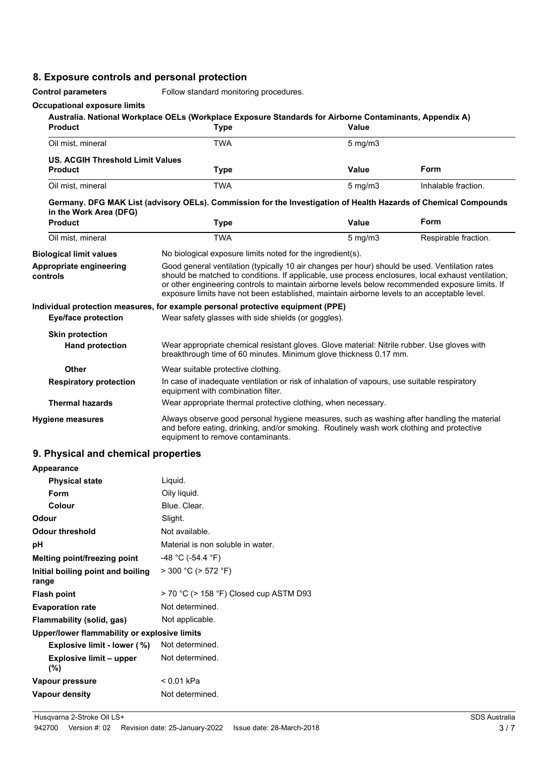### **8. Exposure controls and personal protection**

**Control parameters** Follow standard monitoring procedures.

#### **Occupational exposure limits**

| <b>Product</b>                             | <b>Type</b>                                                                                                                                                                                                                                                                                                                                                                                            | <b>Value</b>                                        |                      |
|--------------------------------------------|--------------------------------------------------------------------------------------------------------------------------------------------------------------------------------------------------------------------------------------------------------------------------------------------------------------------------------------------------------------------------------------------------------|-----------------------------------------------------|----------------------|
| Oil mist, mineral                          | <b>TWA</b>                                                                                                                                                                                                                                                                                                                                                                                             | $5 \text{ mg/m}$                                    |                      |
| <b>US. ACGIH Threshold Limit Values</b>    |                                                                                                                                                                                                                                                                                                                                                                                                        |                                                     |                      |
| <b>Product</b>                             | <b>Type</b>                                                                                                                                                                                                                                                                                                                                                                                            | Value                                               | <b>Form</b>          |
| Oil mist, mineral                          | <b>TWA</b>                                                                                                                                                                                                                                                                                                                                                                                             | $5$ mg/m $3$                                        | Inhalable fraction.  |
| in the Work Area (DFG)                     | Germany. DFG MAK List (advisory OELs). Commission for the Investigation of Health Hazards of Chemical Compounds                                                                                                                                                                                                                                                                                        |                                                     |                      |
| <b>Product</b>                             | <b>Type</b>                                                                                                                                                                                                                                                                                                                                                                                            | Value                                               | Form                 |
| Oil mist, mineral                          | <b>TWA</b>                                                                                                                                                                                                                                                                                                                                                                                             | $5$ mg/m $3$                                        | Respirable fraction. |
| <b>Biological limit values</b>             | No biological exposure limits noted for the ingredient(s).                                                                                                                                                                                                                                                                                                                                             |                                                     |                      |
| <b>Appropriate engineering</b><br>controls | Good general ventilation (typically 10 air changes per hour) should be used. Ventilation rates<br>should be matched to conditions. If applicable, use process enclosures, local exhaust ventilation,<br>or other engineering controls to maintain airborne levels below recommended exposure limits. If<br>exposure limits have not been established, maintain airborne levels to an acceptable level. |                                                     |                      |
|                                            | Individual protection measures, for example personal protective equipment (PPE)                                                                                                                                                                                                                                                                                                                        |                                                     |                      |
| <b>Eye/face protection</b>                 |                                                                                                                                                                                                                                                                                                                                                                                                        | Wear safety glasses with side shields (or goggles). |                      |
| <b>Skin protection</b>                     |                                                                                                                                                                                                                                                                                                                                                                                                        |                                                     |                      |
| <b>Hand protection</b>                     | Wear appropriate chemical resistant gloves. Glove material: Nitrile rubber. Use gloves with<br>breakthrough time of 60 minutes. Minimum glove thickness 0.17 mm.                                                                                                                                                                                                                                       |                                                     |                      |
| <b>Other</b>                               | Wear suitable protective clothing.                                                                                                                                                                                                                                                                                                                                                                     |                                                     |                      |
| <b>Respiratory protection</b>              | In case of inadequate ventilation or risk of inhalation of vapours, use suitable respiratory<br>equipment with combination filter.                                                                                                                                                                                                                                                                     |                                                     |                      |
| <b>Thermal hazards</b>                     | Wear appropriate thermal protective clothing, when necessary.                                                                                                                                                                                                                                                                                                                                          |                                                     |                      |
| <b>Hygiene measures</b>                    | Always observe good personal hygiene measures, such as washing after handling the material<br>and before eating, drinking, and/or smoking. Routinely wash work clothing and protective<br>equipment to remove contaminants.                                                                                                                                                                            |                                                     |                      |

#### **9. Physical and chemical properties**

| <b>Appearance</b>                            |                                        |  |
|----------------------------------------------|----------------------------------------|--|
| <b>Physical state</b>                        | Liquid.                                |  |
| Form                                         | Oily liquid.                           |  |
| Colour                                       | Blue, Clear.                           |  |
| Odour                                        | Slight.                                |  |
| <b>Odour threshold</b>                       | Not available.                         |  |
| рH                                           | Material is non soluble in water.      |  |
| Melting point/freezing point                 | $-48$ °C (-54.4 °F)                    |  |
| Initial boiling point and boiling<br>range   | $>$ 300 °C ( $>$ 572 °F)               |  |
| <b>Flash point</b>                           | > 70 °C (> 158 °F) Closed cup ASTM D93 |  |
| <b>Evaporation rate</b>                      | Not determined.                        |  |
| Flammability (solid, gas)                    | Not applicable.                        |  |
| Upper/lower flammability or explosive limits |                                        |  |
| Explosive limit - lower (%)                  | Not determined.                        |  |
| <b>Explosive limit - upper</b><br>(%)        | Not determined.                        |  |
| Vapour pressure                              | < 0.01 kPa                             |  |
| Vapour density                               | Not determined.                        |  |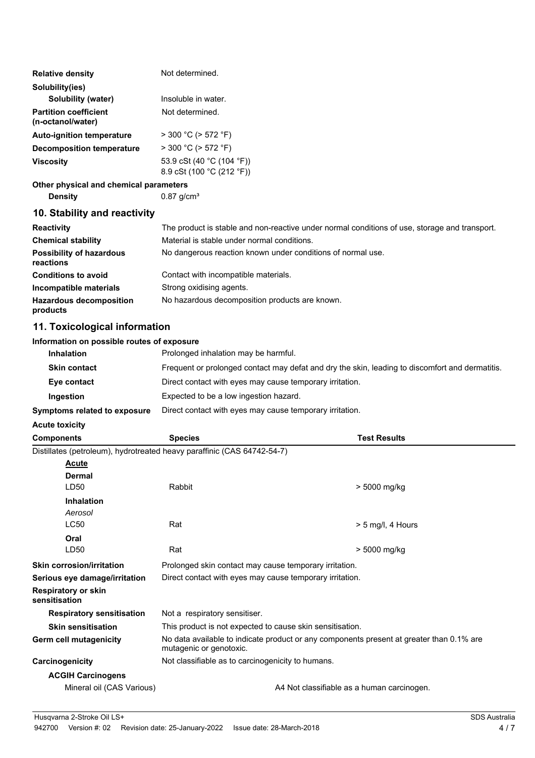| <b>Relative density</b>                           | Not determined.                                        |
|---------------------------------------------------|--------------------------------------------------------|
| Solubility(ies)                                   |                                                        |
| Solubility (water)                                | Insoluble in water.                                    |
| <b>Partition coefficient</b><br>(n-octanol/water) | Not determined.                                        |
| <b>Auto-ignition temperature</b>                  | $>$ 300 °C ( $>$ 572 °F)                               |
| <b>Decomposition temperature</b>                  | $>$ 300 °C ( $>$ 572 °F)                               |
| <b>Viscosity</b>                                  | 53.9 cSt (40 °C (104 °F))<br>8.9 cSt (100 °C (212 °F)) |

#### **Other physical and chemical parameters**

**Density** 0.87 g/cm<sup>3</sup>

#### **10. Stability and reactivity**

| <b>Reactivity</b>                            | The product is stable and non-reactive under normal conditions of use, storage and transport. |
|----------------------------------------------|-----------------------------------------------------------------------------------------------|
| <b>Chemical stability</b>                    | Material is stable under normal conditions.                                                   |
| <b>Possibility of hazardous</b><br>reactions | No dangerous reaction known under conditions of normal use.                                   |
| <b>Conditions to avoid</b>                   | Contact with incompatible materials.                                                          |
| Incompatible materials                       | Strong oxidising agents.                                                                      |
| <b>Hazardous decomposition</b><br>products   | No hazardous decomposition products are known.                                                |

#### **11. Toxicological information**

#### **Information on possible routes of exposure**

| <b>Inhalation</b>            | Prolonged inhalation may be harmful.                                                            |
|------------------------------|-------------------------------------------------------------------------------------------------|
| <b>Skin contact</b>          | Frequent or prolonged contact may defat and dry the skin, leading to discomfort and dermatitis. |
| Eye contact                  | Direct contact with eyes may cause temporary irritation.                                        |
| Ingestion                    | Expected to be a low ingestion hazard.                                                          |
| Symptoms related to exposure | Direct contact with eyes may cause temporary irritation.                                        |

#### **Acute toxicity**

| <b>Components</b>                           | <b>Species</b>                                                                                                      | <b>Test Results</b> |  |
|---------------------------------------------|---------------------------------------------------------------------------------------------------------------------|---------------------|--|
|                                             | Distillates (petroleum), hydrotreated heavy paraffinic (CAS 64742-54-7)                                             |                     |  |
| <b>Acute</b>                                |                                                                                                                     |                     |  |
| <b>Dermal</b>                               |                                                                                                                     |                     |  |
| LD <sub>50</sub>                            | Rabbit                                                                                                              | > 5000 mg/kg        |  |
| <b>Inhalation</b>                           |                                                                                                                     |                     |  |
| Aerosol                                     |                                                                                                                     |                     |  |
| <b>LC50</b>                                 | Rat                                                                                                                 | > 5 mg/l, 4 Hours   |  |
| Oral                                        |                                                                                                                     |                     |  |
| LD50                                        | Rat                                                                                                                 | > 5000 mg/kg        |  |
| <b>Skin corrosion/irritation</b>            | Prolonged skin contact may cause temporary irritation.                                                              |                     |  |
| Serious eye damage/irritation               | Direct contact with eyes may cause temporary irritation.                                                            |                     |  |
| <b>Respiratory or skin</b><br>sensitisation |                                                                                                                     |                     |  |
| <b>Respiratory sensitisation</b>            | Not a respiratory sensitiser.                                                                                       |                     |  |
| <b>Skin sensitisation</b>                   | This product is not expected to cause skin sensitisation.                                                           |                     |  |
| Germ cell mutagenicity                      | No data available to indicate product or any components present at greater than 0.1% are<br>mutagenic or genotoxic. |                     |  |
| Carcinogenicity                             | Not classifiable as to carcinogenicity to humans.                                                                   |                     |  |
| <b>ACGIH Carcinogens</b>                    |                                                                                                                     |                     |  |
| Mineral oil (CAS Various)                   | A4 Not classifiable as a human carcinogen.                                                                          |                     |  |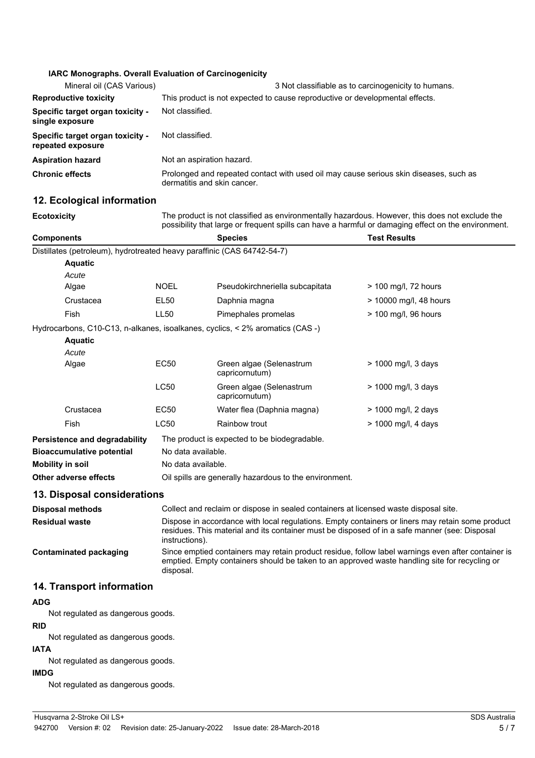#### **IARC Monographs. Overall Evaluation of Carcinogenicity**

| Mineral oil (CAS Various)                             | 3 Not classifiable as to carcinogenicity to humans.                                                                  |  |  |
|-------------------------------------------------------|----------------------------------------------------------------------------------------------------------------------|--|--|
| <b>Reproductive toxicity</b>                          | This product is not expected to cause reproductive or developmental effects.                                         |  |  |
| Specific target organ toxicity -<br>single exposure   | Not classified.                                                                                                      |  |  |
| Specific target organ toxicity -<br>repeated exposure | Not classified.                                                                                                      |  |  |
| <b>Aspiration hazard</b>                              | Not an aspiration hazard.                                                                                            |  |  |
| <b>Chronic effects</b>                                | Prolonged and repeated contact with used oil may cause serious skin diseases, such as<br>dermatitis and skin cancer. |  |  |

#### **12. Ecological information**

**Ecotoxicity** The product is not classified as environmentally hazardous. However, this does not exclude the possibility that large or frequent spills can have a harmful or damaging effect on the environment.

| <b>Components</b>                                                       |                                                                                                                                                                                                                     | <b>Species</b>                                                                | <b>Test Results</b>    |  |
|-------------------------------------------------------------------------|---------------------------------------------------------------------------------------------------------------------------------------------------------------------------------------------------------------------|-------------------------------------------------------------------------------|------------------------|--|
| Distillates (petroleum), hydrotreated heavy paraffinic (CAS 64742-54-7) |                                                                                                                                                                                                                     |                                                                               |                        |  |
| <b>Aquatic</b>                                                          |                                                                                                                                                                                                                     |                                                                               |                        |  |
| Acute                                                                   |                                                                                                                                                                                                                     |                                                                               |                        |  |
| Algae                                                                   | <b>NOEL</b>                                                                                                                                                                                                         | Pseudokirchneriella subcapitata                                               | $>$ 100 mg/l, 72 hours |  |
| Crustacea                                                               | EL50                                                                                                                                                                                                                | Daphnia magna                                                                 | > 10000 mg/l, 48 hours |  |
| <b>Fish</b>                                                             | LL <sub>50</sub>                                                                                                                                                                                                    | Pimephales promelas                                                           | > 100 mg/l, 96 hours   |  |
|                                                                         |                                                                                                                                                                                                                     | Hydrocarbons, C10-C13, n-alkanes, isoalkanes, cyclics, < 2% aromatics (CAS -) |                        |  |
| <b>Aquatic</b>                                                          |                                                                                                                                                                                                                     |                                                                               |                        |  |
| Acute                                                                   |                                                                                                                                                                                                                     |                                                                               |                        |  |
| Algae                                                                   | EC50                                                                                                                                                                                                                | Green algae (Selenastrum<br>capricornutum)                                    | > 1000 mg/l, 3 days    |  |
|                                                                         | <b>LC50</b>                                                                                                                                                                                                         | Green algae (Selenastrum<br>capricornutum)                                    | > 1000 mg/l, 3 days    |  |
| Crustacea                                                               | EC50                                                                                                                                                                                                                | Water flea (Daphnia magna)                                                    | > 1000 mg/l, 2 days    |  |
| <b>Fish</b>                                                             | <b>LC50</b>                                                                                                                                                                                                         | Rainbow trout                                                                 | > 1000 mg/l, 4 days    |  |
| Persistence and degradability                                           |                                                                                                                                                                                                                     | The product is expected to be biodegradable.                                  |                        |  |
| <b>Bioaccumulative potential</b>                                        |                                                                                                                                                                                                                     | No data available.                                                            |                        |  |
| <b>Mobility in soil</b>                                                 |                                                                                                                                                                                                                     | No data available.                                                            |                        |  |
| Other adverse effects                                                   | Oil spills are generally hazardous to the environment.                                                                                                                                                              |                                                                               |                        |  |
| 13. Disposal considerations                                             |                                                                                                                                                                                                                     |                                                                               |                        |  |
| <b>Disposal methods</b>                                                 | Collect and reclaim or dispose in sealed containers at licensed waste disposal site.                                                                                                                                |                                                                               |                        |  |
| <b>Residual waste</b>                                                   | Dispose in accordance with local regulations. Empty containers or liners may retain some product<br>residues. This material and its container must be disposed of in a safe manner (see: Disposal<br>instructions). |                                                                               |                        |  |
| <b>Contaminated packaging</b>                                           | Since emptied containers may retain product residue, follow label warnings even after container is<br>emptied. Empty containers should be taken to an approved waste handling site for recycling or<br>disposal.    |                                                                               |                        |  |

#### **14. Transport information**

#### **ADG**

Not regulated as dangerous goods.

**RID** Not regulated as dangerous goods.

## **IATA**

Not regulated as dangerous goods.

#### **IMDG**

Not regulated as dangerous goods.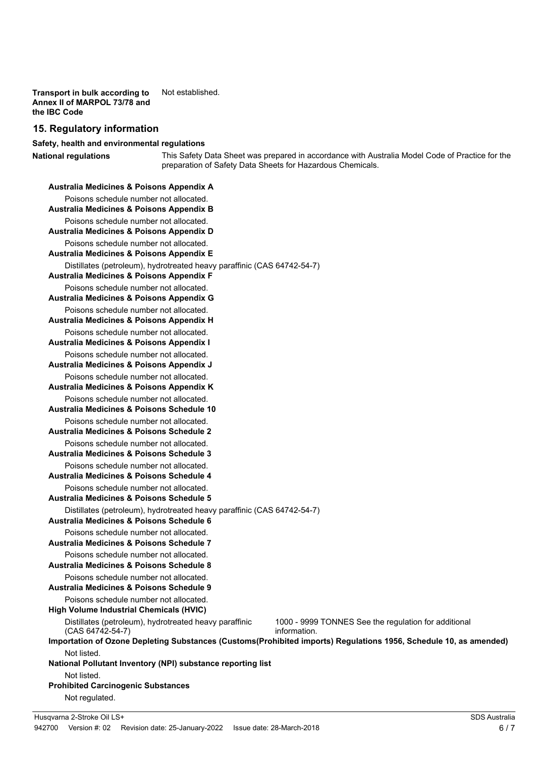**Transport in bulk according to** Not established. **Annex II of MARPOL 73/78 and the IBC Code**

#### **15. Regulatory information**

#### **Safety, health and environmental regulations**

**National regulations**

This Safety Data Sheet was prepared in accordance with Australia Model Code of Practice for the preparation of Safety Data Sheets for Hazardous Chemicals.

| Australia Medicines & Poisons Appendix A                                                                                       |                                                                      |  |  |  |
|--------------------------------------------------------------------------------------------------------------------------------|----------------------------------------------------------------------|--|--|--|
| Poisons schedule number not allocated.                                                                                         |                                                                      |  |  |  |
| <b>Australia Medicines &amp; Poisons Appendix B</b>                                                                            |                                                                      |  |  |  |
| Poisons schedule number not allocated.                                                                                         |                                                                      |  |  |  |
| Australia Medicines & Poisons Appendix D                                                                                       |                                                                      |  |  |  |
| Poisons schedule number not allocated.<br><b>Australia Medicines &amp; Poisons Appendix E</b>                                  |                                                                      |  |  |  |
|                                                                                                                                |                                                                      |  |  |  |
| Distillates (petroleum), hydrotreated heavy paraffinic (CAS 64742-54-7)<br><b>Australia Medicines &amp; Poisons Appendix F</b> |                                                                      |  |  |  |
| Poisons schedule number not allocated.                                                                                         |                                                                      |  |  |  |
| Australia Medicines & Poisons Appendix G                                                                                       |                                                                      |  |  |  |
| Poisons schedule number not allocated.                                                                                         |                                                                      |  |  |  |
| <b>Australia Medicines &amp; Poisons Appendix H</b>                                                                            |                                                                      |  |  |  |
| Poisons schedule number not allocated.                                                                                         |                                                                      |  |  |  |
| <b>Australia Medicines &amp; Poisons Appendix I</b>                                                                            |                                                                      |  |  |  |
| Poisons schedule number not allocated.<br>Australia Medicines & Poisons Appendix J                                             |                                                                      |  |  |  |
| Poisons schedule number not allocated.                                                                                         |                                                                      |  |  |  |
| Australia Medicines & Poisons Appendix K                                                                                       |                                                                      |  |  |  |
| Poisons schedule number not allocated.                                                                                         |                                                                      |  |  |  |
| <b>Australia Medicines &amp; Poisons Schedule 10</b>                                                                           |                                                                      |  |  |  |
| Poisons schedule number not allocated.                                                                                         |                                                                      |  |  |  |
| Australia Medicines & Poisons Schedule 2                                                                                       |                                                                      |  |  |  |
| Poisons schedule number not allocated.                                                                                         |                                                                      |  |  |  |
| Australia Medicines & Poisons Schedule 3                                                                                       |                                                                      |  |  |  |
| Poisons schedule number not allocated.<br>Australia Medicines & Poisons Schedule 4                                             |                                                                      |  |  |  |
| Poisons schedule number not allocated.                                                                                         |                                                                      |  |  |  |
| Australia Medicines & Poisons Schedule 5                                                                                       |                                                                      |  |  |  |
| Distillates (petroleum), hydrotreated heavy paraffinic (CAS 64742-54-7)                                                        |                                                                      |  |  |  |
| <b>Australia Medicines &amp; Poisons Schedule 6</b>                                                                            |                                                                      |  |  |  |
| Poisons schedule number not allocated.                                                                                         |                                                                      |  |  |  |
| Australia Medicines & Poisons Schedule 7                                                                                       |                                                                      |  |  |  |
| Poisons schedule number not allocated.                                                                                         |                                                                      |  |  |  |
| <b>Australia Medicines &amp; Poisons Schedule 8</b>                                                                            |                                                                      |  |  |  |
| Poisons schedule number not allocated.<br><b>Australia Medicines &amp; Poisons Schedule 9</b>                                  |                                                                      |  |  |  |
| Poisons schedule number not allocated.                                                                                         |                                                                      |  |  |  |
| <b>High Volume Industrial Chemicals (HVIC)</b>                                                                                 |                                                                      |  |  |  |
| Distillates (petroleum), hydrotreated heavy paraffinic<br>(CAS 64742-54-7)                                                     | 1000 - 9999 TONNES See the regulation for additional<br>information. |  |  |  |
| Importation of Ozone Depleting Substances (Customs(Prohibited imports) Regulations 1956, Schedule 10, as amended)              |                                                                      |  |  |  |
| Not listed.                                                                                                                    |                                                                      |  |  |  |
| National Pollutant Inventory (NPI) substance reporting list                                                                    |                                                                      |  |  |  |
| Not listed.                                                                                                                    |                                                                      |  |  |  |
| <b>Prohibited Carcinogenic Substances</b>                                                                                      |                                                                      |  |  |  |
| Not regulated.                                                                                                                 |                                                                      |  |  |  |